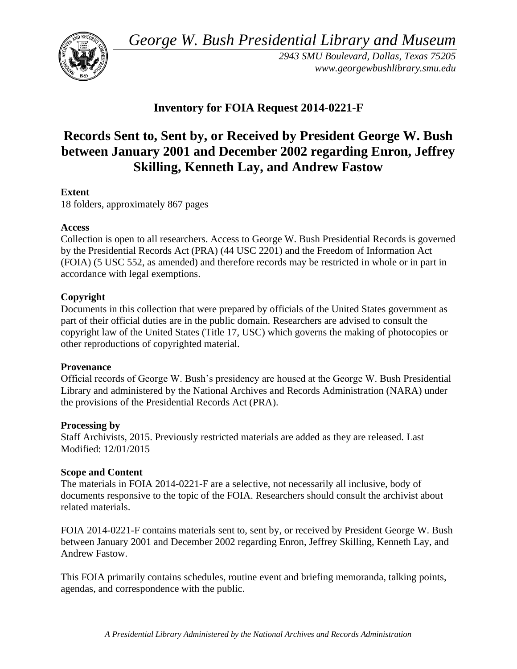*George W. Bush Presidential Library and Museum* 



*2943 SMU Boulevard, Dallas, Texas 75205 <www.georgewbushlibrary.smu.edu>* 

# **Inventory for FOIA Request 2014-0221-F**

# **Records Sent to, Sent by, or Received by President George W. Bush between January 2001 and December 2002 regarding Enron, Jeffrey Skilling, Kenneth Lay, and Andrew Fastow**

## **Extent**

18 folders, approximately 867 pages

#### **Access**

Collection is open to all researchers. Access to George W. Bush Presidential Records is governed by the Presidential Records Act (PRA) (44 USC 2201) and the Freedom of Information Act (FOIA) (5 USC 552, as amended) and therefore records may be restricted in whole or in part in accordance with legal exemptions.

### **Copyright**

 Documents in this collection that were prepared by officials of the United States government as part of their official duties are in the public domain. Researchers are advised to consult the copyright law of the United States (Title 17, USC) which governs the making of photocopies or other reproductions of copyrighted material.

#### **Provenance**

Official records of George W. Bush's presidency are housed at the George W. Bush Presidential Library and administered by the National Archives and Records Administration (NARA) under the provisions of the Presidential Records Act (PRA).

#### **Processing by**

 Modified: 12/01/2015 Staff Archivists, 2015. Previously restricted materials are added as they are released. Last

#### **Scope and Content**

 documents responsive to the topic of the FOIA. Researchers should consult the archivist about The materials in FOIA 2014-0221-F are a selective, not necessarily all inclusive, body of related materials.

FOIA 2014-0221-F contains materials sent to, sent by, or received by President George W. Bush between January 2001 and December 2002 regarding Enron, Jeffrey Skilling, Kenneth Lay, and Andrew Fastow.

 agendas, and correspondence with the public. This FOIA primarily contains schedules, routine event and briefing memoranda, talking points,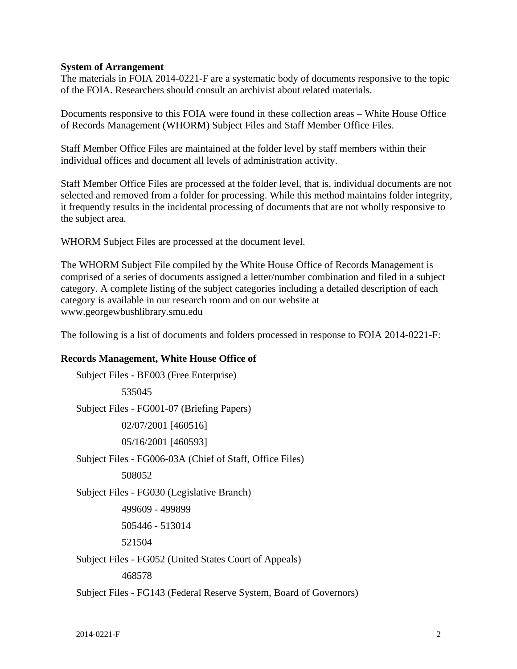#### **System of Arrangement**

 The materials in FOIA 2014-0221-F are a systematic body of documents responsive to the topic of the FOIA. Researchers should consult an archivist about related materials.

Documents responsive to this FOIA were found in these collection areas – White House Office of Records Management (WHORM) Subject Files and Staff Member Office Files.

 Staff Member Office Files are maintained at the folder level by staff members within their individual offices and document all levels of administration activity.

Staff Member Office Files are processed at the folder level, that is, individual documents are not selected and removed from a folder for processing. While this method maintains folder integrity, it frequently results in the incidental processing of documents that are not wholly responsive to the subject area.

WHORM Subject Files are processed at the document level.

 The WHORM Subject File compiled by the White House Office of Records Management is comprised of a series of documents assigned a letter/number combination and filed in a subject category. A complete listing of the subject categories including a detailed description of each category is available in our research room and on our website at <www.georgewbushlibrary.smu.edu>

The following is a list of documents and folders processed in response to FOIA 2014-0221-F:

#### **Records Management, White House Office of**

```
 
Subject Files - BE003 (Free Enterprise) 

Subject Files - FG001-07 (Briefing Papers) 

Subject Files - FG006-03A (Chief of Staff, Office Files) 

Subject Files - FG030 (Legislative Branch) 

Subject Files - FG052 (United States Court of Appeals) 

Subject Files - FG143 (Federal Reserve System, Board of Governors) 
           535045 
           02/07/2001 [460516] 
           05/16/2001 [460593] 
           508052 
          499609 - 499899 
           505446 - 513014 
           521504 
           468578
```